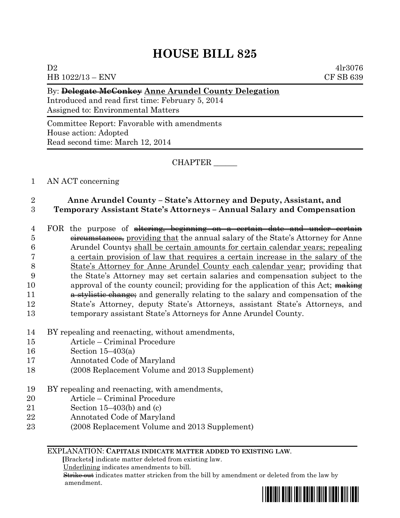# **HOUSE BILL 825**

 $D2 \t 4lr3076$ HB 1022/13 – ENV CF SB 639

### By: **Delegate McConkey Anne Arundel County Delegation**

Introduced and read first time: February 5, 2014 Assigned to: Environmental Matters

Committee Report: Favorable with amendments House action: Adopted Read second time: March 12, 2014

CHAPTER \_\_\_\_\_\_

## 1 AN ACT concerning

## 2 **Anne Arundel County – State's Attorney and Deputy, Assistant, and**  3 **Temporary Assistant State's Attorneys – Annual Salary and Compensation**

- 4 FOR the purpose of <del>altering, beginning on a certain date and under certain</del> 5 circumstances, providing that the annual salary of the State's Attorney for Anne 6 Arundel County; shall be certain amounts for certain calendar years; repealing 7 a certain provision of law that requires a certain increase in the salary of the 8 State's Attorney for Anne Arundel County each calendar year; providing that 9 the State's Attorney may set certain salaries and compensation subject to the 10 approval of the county council; providing for the application of this Act; making 11 a straintive change; and generally relating to the salary and compensation of the 12 State's Attorney, deputy State's Attorneys, assistant State's Attorneys, and 13 temporary assistant State's Attorneys for Anne Arundel County.
- 14 BY repealing and reenacting, without amendments,
- 15 Article Criminal Procedure
- 16 Section 15–403(a)
- 17 Annotated Code of Maryland
- 18 (2008 Replacement Volume and 2013 Supplement)
- 19 BY repealing and reenacting, with amendments,
- 20 Article Criminal Procedure
- 21 Section 15–403(b) and (c)
- 22 Annotated Code of Maryland
- 23 (2008 Replacement Volume and 2013 Supplement)

#### EXPLANATION: **CAPITALS INDICATE MATTER ADDED TO EXISTING LAW**.

 **[**Brackets**]** indicate matter deleted from existing law.

Underlining indicates amendments to bill.

 Strike out indicates matter stricken from the bill by amendment or deleted from the law by amendment.

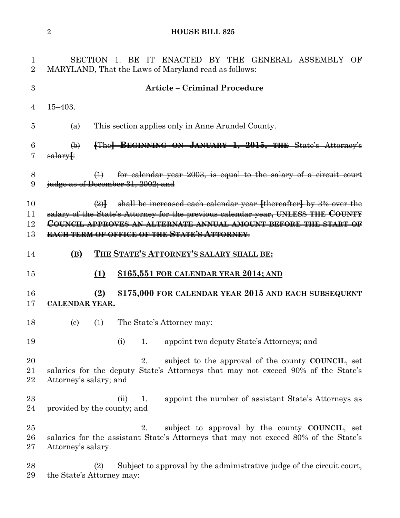## **HOUSE BILL 825**

| $\mathbf{1}$<br>$\overline{2}$ | SECTION 1. BE IT ENACTED BY THE GENERAL ASSEMBLY OF<br>MARYLAND, That the Laws of Maryland read as follows:                                                                                                                                                                                      |
|--------------------------------|--------------------------------------------------------------------------------------------------------------------------------------------------------------------------------------------------------------------------------------------------------------------------------------------------|
| 3                              | <b>Article - Criminal Procedure</b>                                                                                                                                                                                                                                                              |
| 4                              | $15 - 403.$                                                                                                                                                                                                                                                                                      |
| 5                              | This section applies only in Anne Arundel County.<br>(a)                                                                                                                                                                                                                                         |
| 6<br>7                         | [The] BEGINNING ON JANUARY 1, 2015, THE State's Attorney's<br>$\bigoplus$<br>salary[:                                                                                                                                                                                                            |
| 8<br>9                         | for calendar year 2003, is equal to the salary of a circuit court<br>$\bigoplus$<br>judge as of December 31, 2002; and                                                                                                                                                                           |
| 10<br>11<br>12<br>13           | $\left(2\right)$ shall be increased each calendar year [thereafter] by 3% over the<br>salary of the State's Attorney for the previous calendar year, UNLESS THE COUNTY<br>COUNCIL APPROVES AN ALTERNATE ANNUAL AMOUNT BEFORE THE START OF<br><b>EACH TERM OF OFFICE OF THE STATE'S ATTORNEY-</b> |
| 14                             | THE STATE'S ATTORNEY'S SALARY SHALL BE:<br>(B)                                                                                                                                                                                                                                                   |
| 15                             | \$165,551 FOR CALENDAR YEAR 2014; AND<br>(1)                                                                                                                                                                                                                                                     |
| 16<br>17                       | \$175,000 FOR CALENDAR YEAR 2015 AND EACH SUBSEQUENT<br>(2)<br><b>CALENDAR YEAR.</b>                                                                                                                                                                                                             |
| 18                             | The State's Attorney may:<br>(1)<br>(c)                                                                                                                                                                                                                                                          |
| 19                             | appoint two deputy State's Attorneys; and<br>(i)<br>1.                                                                                                                                                                                                                                           |
| 20<br>21<br>22                 | subject to the approval of the county COUNCIL, set<br>2.<br>salaries for the deputy State's Attorneys that may not exceed 90% of the State's<br>Attorney's salary; and                                                                                                                           |
| 23<br>24                       | appoint the number of assistant State's Attorneys as<br>(ii)<br>1.<br>provided by the county; and                                                                                                                                                                                                |
| 25<br>26<br>27                 | subject to approval by the county COUNCIL, set<br>2.<br>salaries for the assistant State's Attorneys that may not exceed 80% of the State's<br>Attorney's salary.                                                                                                                                |
| 28<br>29                       | Subject to approval by the administrative judge of the circuit court,<br>(2)<br>the State's Attorney may:                                                                                                                                                                                        |